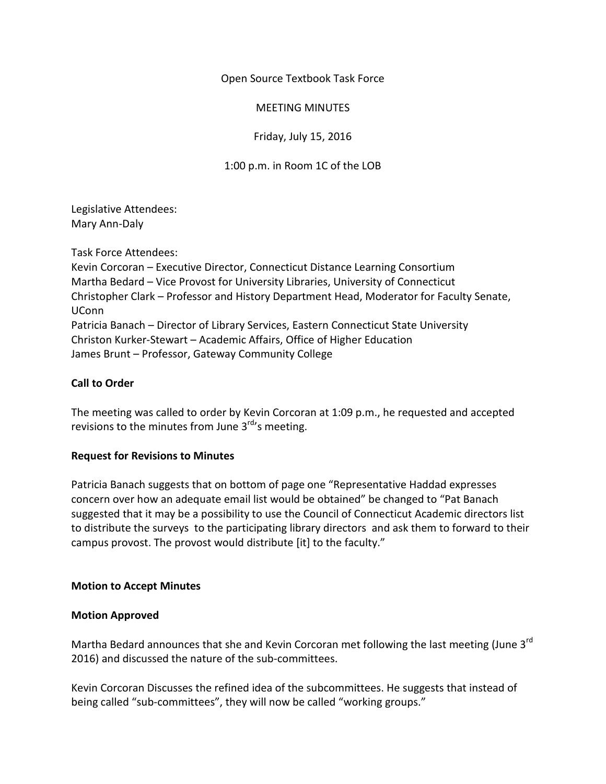Open Source Textbook Task Force

MEETING MINUTES

Friday, July 15, 2016

# 1:00 p.m. in Room 1C of the LOB

Legislative Attendees: Mary Ann-Daly

Task Force Attendees:

Kevin Corcoran – Executive Director, Connecticut Distance Learning Consortium Martha Bedard – Vice Provost for University Libraries, University of Connecticut Christopher Clark – Professor and History Department Head, Moderator for Faculty Senate, UConn Patricia Banach – Director of Library Services, Eastern Connecticut State University Christon Kurker-Stewart – Academic Affairs, Office of Higher Education James Brunt – Professor, Gateway Community College

# **Call to Order**

The meeting was called to order by Kevin Corcoran at 1:09 p.m., he requested and accepted revisions to the minutes from June  $3<sup>rd</sup>$ 's meeting.

## **Request for Revisions to Minutes**

Patricia Banach suggests that on bottom of page one "Representative Haddad expresses concern over how an adequate email list would be obtained" be changed to "Pat Banach suggested that it may be a possibility to use the Council of Connecticut Academic directors list to distribute the surveys to the participating library directors and ask them to forward to their campus provost. The provost would distribute [it] to the faculty."

## **Motion to Accept Minutes**

## **Motion Approved**

Martha Bedard announces that she and Kevin Corcoran met following the last meeting (June 3<sup>rd</sup>) 2016) and discussed the nature of the sub-committees.

Kevin Corcoran Discusses the refined idea of the subcommittees. He suggests that instead of being called "sub-committees", they will now be called "working groups."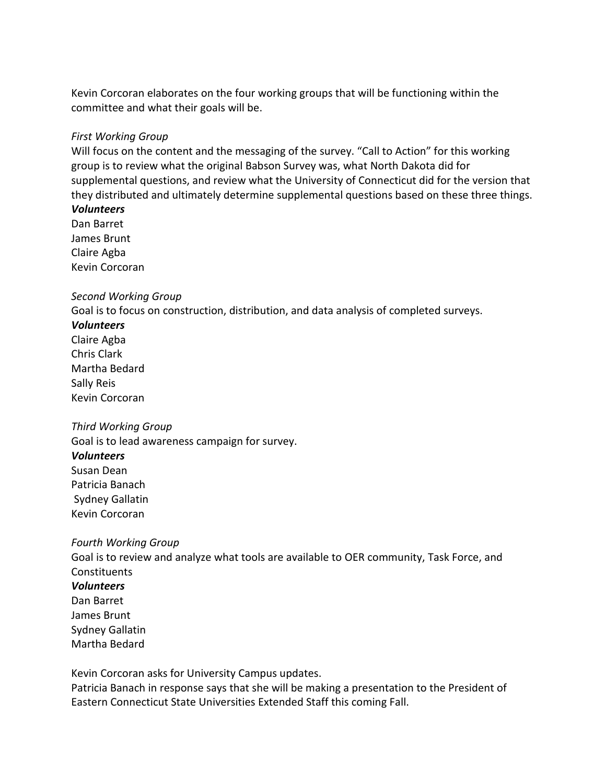Kevin Corcoran elaborates on the four working groups that will be functioning within the committee and what their goals will be.

### *First Working Group*

Will focus on the content and the messaging of the survey. "Call to Action" for this working group is to review what the original Babson Survey was, what North Dakota did for supplemental questions, and review what the University of Connecticut did for the version that they distributed and ultimately determine supplemental questions based on these three things.

# *Volunteers*

Dan Barret James Brunt Claire Agba Kevin Corcoran

#### *Second Working Group*

Goal is to focus on construction, distribution, and data analysis of completed surveys.

#### *Volunteers*

Claire Agba Chris Clark Martha Bedard Sally Reis Kevin Corcoran

#### *Third Working Group*

Goal is to lead awareness campaign for survey.

#### *Volunteers*

Susan Dean Patricia Banach Sydney Gallatin Kevin Corcoran

#### *Fourth Working Group*

Goal is to review and analyze what tools are available to OER community, Task Force, and **Constituents** *Volunteers* Dan Barret James Brunt Sydney Gallatin Martha Bedard

Kevin Corcoran asks for University Campus updates.

Patricia Banach in response says that she will be making a presentation to the President of Eastern Connecticut State Universities Extended Staff this coming Fall.